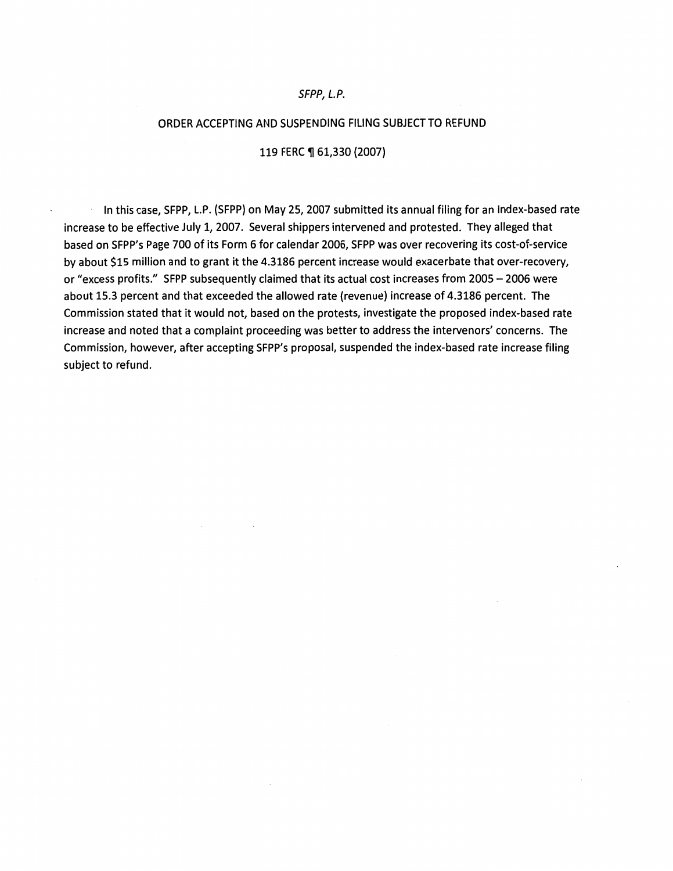#### SFPP, L.P.

#### ORDER ACCEPTING AND SUSPENDING FILING SUBJECT TO REFUND

#### 119 FERC ¶ 61,330 (2007)

In this case, SFPP, L.P. (SFPP) on May 25, 2007 submitted its annual filing for an index-based rate increase to be effective July 1, 2007. Several shippers intervened and protested. They alleged that based on SFPP's Page 700 of its Form 6 for calendar 2006, SFPP was over recovering its cost-of-service by about \$15 million and to grant it the 4.3186 percent increase would exacerbate that over-recovery, or "excess profits." SFPP subsequently claimed that its actual cost increases from 2005-2006 were about 15.3 percent and that exceeded the allowed rate (revenue) increase of 4.3186 percent. The Commission stated that it would not, based on the protests, investigate the proposed index-based rate increase and noted that a complaint proceeding was better to address the intervenors' concerns. The Commission, however, after accepting SFPP's proposal, suspended the index-based rate increase filing subject to refund.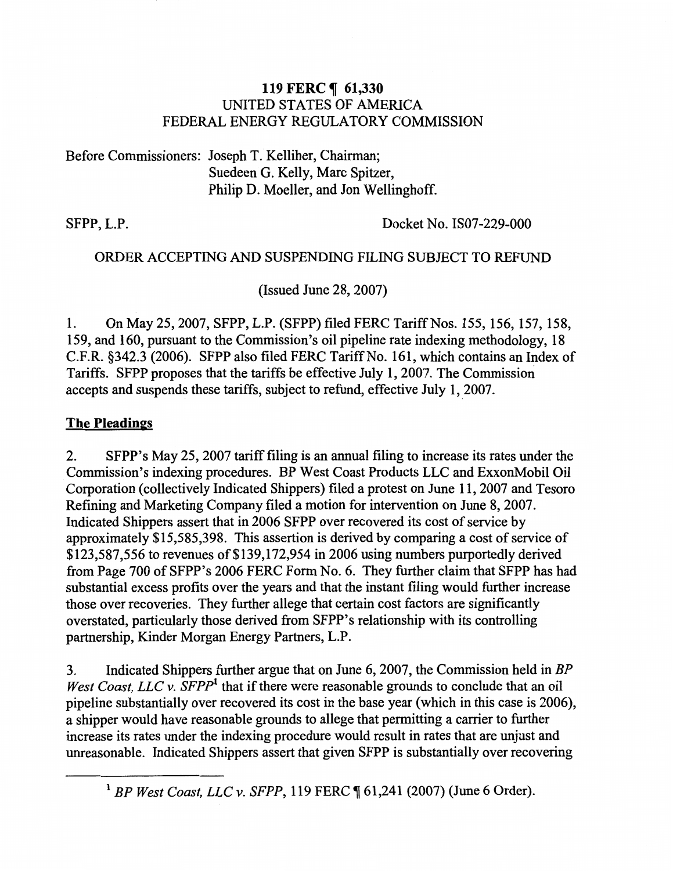## 119 FERC ¶ 61,330 UNITED STATES OF AMERICA FEDERAL ENERGY REGULATORY COMMISSION

Before Commissioners: Joseph T. Kelliher, Chairman; Suedeen G. Kelly, Marc Spitzer, Philip D. Moeller, and Jon Wellinghoff.

SFPP, L.P. Docket No. IS07-229-000

# ORDER ACCEPTING AND SUSPENDING FILING SUBJECT TO REFUND

(Issued June 28, 2007)

1. On May 25, 2007, SFPP, L.P. (SFPP) filed FERC Tariff Nos. 155, 156, 157, 158, 159, and 160, pursuant to the Commission's oil pipeline rate indexing methodology, 18 C.F.R. §342.3 (2006). SFPP also filed FERC Tariff No. 161, which contains an Index of Tariffs. SFPP proposes that the tariffs be effective July 1, 2007. The Commission accepts and suspends these tariffs, subject to refund, effective July 1, 2007.

# The Pleadings

2. SFPP's May 25,2007 tariff filing is an annual filing to increase its rates under the Commission's indexing procedures. BP West Coast Products LLC and ExxonMobil Oil Corporation (collectively Indicated Shippers) filed a protest on June 11, 2007 and Tesoro Refining and Marketing Company filed a motion for intervention on June 8, 2007. Indicated Shippers assert that in 2006 SFPP over recovered its cost of service by approximately \$15,585,398. This assertion is derived by comparing a cost of service of \$123,587,556 to revenues of \$139,172,954 in 2006 using numbers purportedly derived from Page 700 of SFPP's 2006 FERC Form No. 6. They further claim that SFPP has had substantial excess profits over the years and that the instant filing would further increase those over recoveries. They further allege that certain cost factors are significantly overstated, particularly those derived from SFPP's relationship with its controlling partnership, Kinder Morgan Energy Partners, L.P.

3. Indicated Shippers further argue that on June 6, 2007, the Commission held in *BP West Coast, LLC v. SFPP*<sup>1</sup> that if there were reasonable grounds to conclude that an oil pipeline substantially over recovered its cost in the base year (which in this case is 2006), a shipper would have reasonable grounds to allege that permitting a carrier to further increase its rates under the indexing procedure would result in rates that are unjust and unreasonable. Indicated Shippers assert that given SFPP is substantially over recovering

<sup>&</sup>lt;sup>1</sup> BP West Coast, LLC v. SFPP, 119 FERC ¶ 61,241 (2007) (June 6 Order).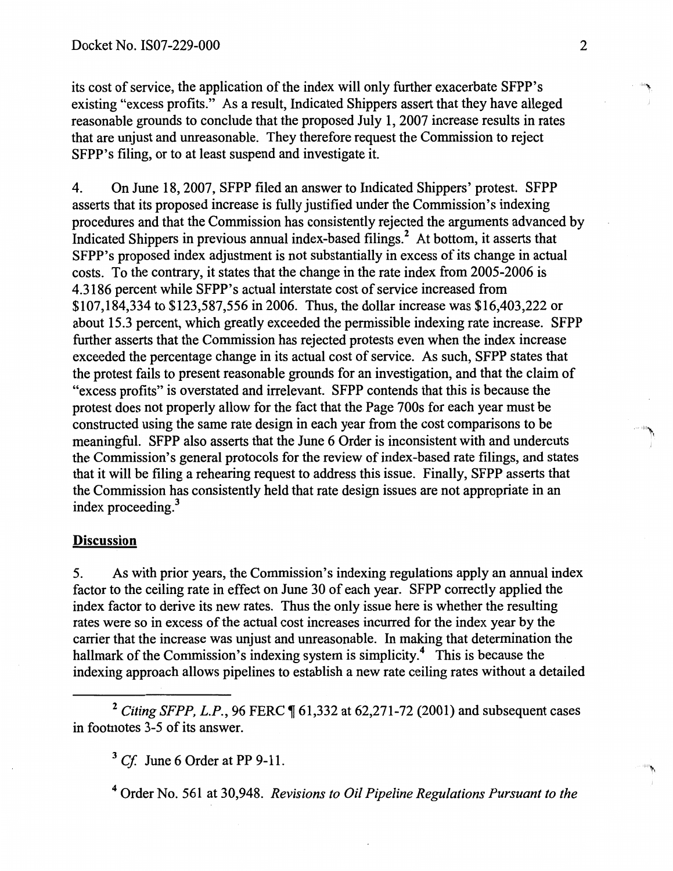its cost of service, the application of the index will only further exacerbate SFPP's existing "excess profits." As a result, Indicated Shippers assert that they have alleged reasonable grounds to conclude that the proposed July 1, 2007 increase results in rates that are unjust and unreasonable. They therefore request the Commission to reject SFPP's filing, or to at least suspend and investigate it.

4. On June 18, 2007, SFPP filed an answer to Indicated Shippers' protest. SFPP asserts that its proposed increase is fully justified under the Commission's indexing procedures and that the Commission has consistently rejected the arguments advanced by Indicated Shippers in previous annual index-based filings.<sup>2</sup> At bottom, it asserts that SFPP's proposed index adjustment is not substantially in excess of its change in actual costs. To the contrary, it states that the change in the rate index from 2005-2006 is 4.3186 percent while SFPP's actual interstate cost of service increased from \$107,184,334 to \$123,587,556 in 2006. Thus, the dollar increase was \$16,403,222 or about 15.3 percent, which greatly exceeded the permissible indexing rate increase. SFPP further asserts that the Commission has rejected protests even when the index increase exceeded the percentage change in its actual cost of service. As such, SFPP states that the protest fails to present reasonable grounds for an investigation, and that the claim of "excess profits" is overstated and irrelevant. SFPP contends that this is because the protest does not properly allow for the fact that the Page 700s for each year must be constructed using the same rate design in each year from the cost comparisons to be meaningful. SFPP also asserts that the June 6 Order is inconsistent with and undercuts the Commission's general protocols for the review of index-based rate filings, and states that it will be filing a rehearing request to address this issue. Finally, SFPP asserts that the Commission has consistently held that rate design issues are not appropriate in an index proceeding.<sup>3</sup>

### **Discussion**

5. As with prior years, the Commission's indexing regulations apply an annual index factor to the ceiling rate in effect on June 30 of each year. SFPP correctly applied the index factor to derive its new rates. Thus the only issue here is whether the resulting rates were so in excess of the actual cost increases incurred for the index year by the carrier that the increase was unjust and unreasonable. In making that determination the hallmark of the Commission's indexing system is simplicity.<sup>4</sup> This is because the indexing approach allows pipelines to establish a new rate ceiling rates without a detailed

<sup>2</sup> Citing SFPP, L.P., 96 FERC ¶ 61,332 at 62,271-72 (2001) and subsequent cases in footnotes 3-5 of its answer.

<sup>3</sup>*Cf* June 6 Order at PP 9-11.

4 Order No. 561 at 30,948. *Revisions to Oil Pipeline Regulations Pursuant to the*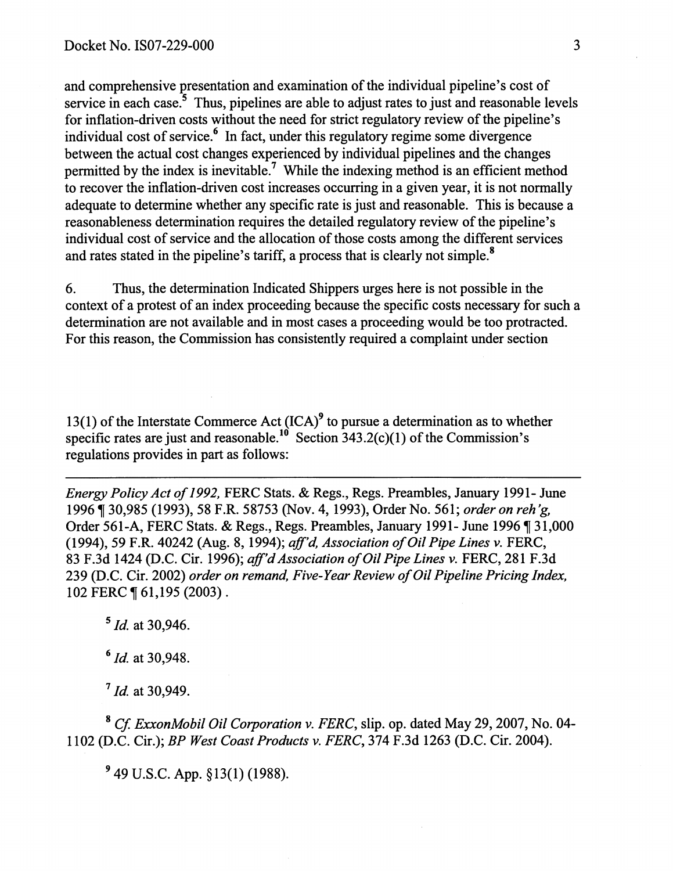and comprehensive presentation and examination of the individual pipeline's cost of service in each case.<sup>5</sup> Thus, pipelines are able to adjust rates to just and reasonable levels for inflation-driven costs without the need for strict regulatory review of the pipeline's individual cost of service. $6 \text{ In fact, under this regulatory regime some divergence}$ between the actual cost changes experienced by individual pipelines and the changes permitted by the index is inevitable.<sup>7</sup> While the indexing method is an efficient method to recover the inflation-driven cost increases occurring in a given year, it is not normally adequate to determine whether any specific rate is just and reasonable. This is because a reasonableness determination requires the detailed regulatory review of the pipeline's individual cost of service and the allocation of those costs among the different services and rates stated in the pipeline's tariff, a process that is clearly not simple.<sup>8</sup>

6. Thus, the determination Indicated Shippers urges here is not possible in the context of a protest of an index proceeding because the specific costs necessary for such a determination are not available and in most cases a proceeding would be too protracted. For this reason, the Commission has consistently required a complaint under section

13(1) of the Interstate Commerce Act  $(ICA)^9$  to pursue a determination as to whether specific rates are just and reasonable.<sup>10</sup> Section 343.2(c)(1) of the Commission's regulations provides in part as follows:

*Energy Policy Act of 1992,* FERC Stats. & Regs., Regs. Preambles, January 1991- June 1996 ~ 30,985 (1993), 58 F.R. 58753 (Nov. 4, 1993), Order No. 561; *order on reh 'g,*  Order 561-A, FERC Stats. & Regs., Regs. Preambles, January 1991- June 1996 ¶ 31,000 (1994), 59 F.R. 40242 (Aug. 8, 1994); *aff'd, Association of Oil Pipe Lines v.* FERC, 83 F.3d 1424 (D.C. Cir. 1996); *aff'd Association of Oil Pipe Lines v.* FERC, 281 F.3d 239 (D.C. Cir. 2002) *order on remand, Five-Year Review of Oil Pipeline Pricing Index,*  102 FERC | 61,195 (2003).

 $5$  *Id.* at 30,946.

<sup>6</sup>*Id.* at 30,948.

 $17$  *Id.* at 30,949.

<sup>8</sup>*Cf ExxonMobil Oil Corporation v. FERC,* slip. op. dated May 29,2007, No. 04- 1102 (D.C. Cir.); *BP West Coast Products v. FERC,* 374 F.3d 1263 (D.C. Cir. 2004).

*9* 49 U.S.C. App. § 13(1) (1988).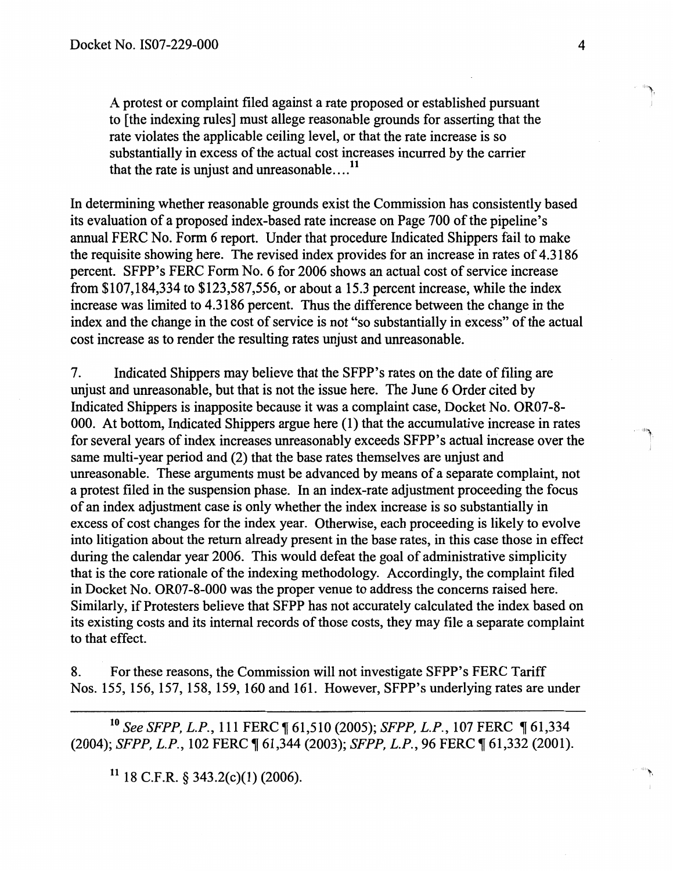A protest or complaint filed against a rate proposed or established pursuant to [the indexing rules] must allege reasonable grounds for asserting that the rate violates the applicable ceiling level, or that the rate increase is so substantially in excess of the actual cost increases incurred by the carrier that the rate is unjust and unreasonable... $^{11}$ 

In determining whether reasonable grounds exist the Commission has consistently based its evaluation of a proposed index-based rate increase on Page 700 of the pipeline's annual FERC No. Form 6 report. Under that procedure Indicated Shippers fail to make the requisite showing here. The revised index provides for an increase in rates of 4.3186 percent. SFPP's FERC Form No. 6 for 2006 shows an actual cost of service increase from \$107,184,334 to \$123,587,556, or about a 15.3 percent increase, while the index increase was limited to 4.3186 percent. Thus the difference between the change in the index and the change in the cost of service is not "so substantially in excess" of the actual cost increase as to render the resulting rates unjust and unreasonable.

7. Indicated Shippers may believe that the SFPP's rates on the date offi1ing are unjust and unreasonable, but that is not the issue here. The June 6 Order cited by Indicated Shippers is inapposite because it was a complaint case, Docket No. OR07-8- 000. At bottom, Indicated Shippers argue here (1) that the accumulative increase in rates for several years of index increases unreasonably exceeds SFPP's actual increase over the same multi-year period and (2) that the base rates themselves are unjust and unreasonable. These arguments must be advanced by means of a separate complaint, not a protest filed in the suspension phase. In an index-rate adjustment proceeding the focus of an index adjustment case is only whether the index increase is so substantially in excess of cost changes for the index year. Otherwise, each proceeding is likely to evolve into litigation about the return already present in the base rates, in this case those in effect during the calendar year 2006. This would defeat the goal of administrative simplicity that is the core rationale of the indexing methodology. Accordingly, the complaint filed in Docket No. OR07-8-000 was the proper venue to address the concerns raised here. Similarly, if Protesters believe that SFPP has not accurately calculated the index based on its existing costs and its internal records of those costs, they may file a separate complaint to that effect.

8. For these reasons, the Commission will not investigate SFPP's FERC Tariff Nos. 155, 156, 157, 158, 159, 160 and 161. However, SFPP's underlying rates are under

<sup>10</sup> See SFPP, L.P., 111 FERC ¶ 61,510 (2005); *SFPP, L.P.*, 107 FERC ¶ 61,334 (2004); *SFPP, L.P.*, 102 FERC ¶ 61,344 (2003); *SFPP, L.P.*, 96 FERC ¶ 61,332 (2001).

 $11$  18 C.F.R. § 343.2(c)(1) (2006).